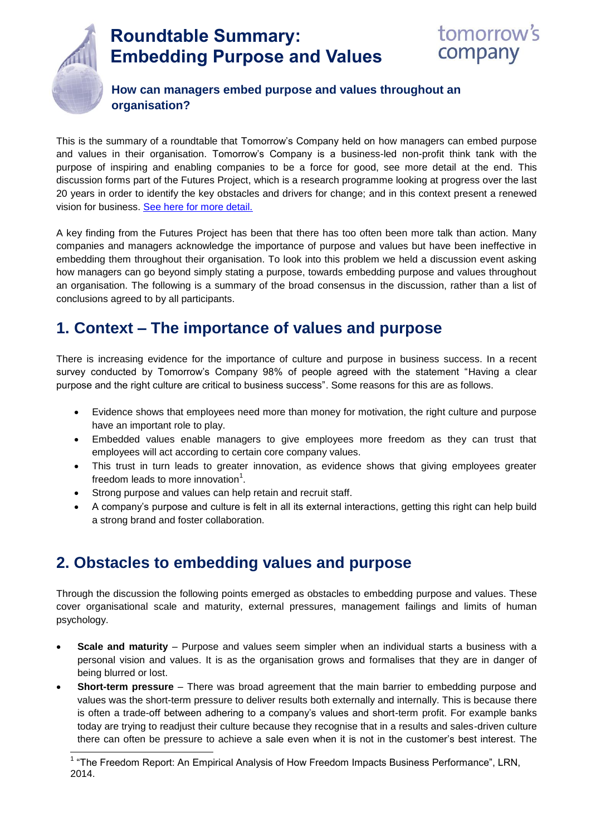

# **Roundtable Summary: Embedding Purpose and Values**



### **How can managers embed purpose and values throughout an organisation?**

This is the summary of a roundtable that Tomorrow's Company held on how managers can embed purpose and values in their organisation. Tomorrow's Company is a business-led non-profit think tank with the purpose of inspiring and enabling companies to be a force for good, see more detail at the end. This discussion forms part of the Futures Project, which is a research programme looking at progress over the last 20 years in order to identify the key obstacles and drivers for change; and in this context present a renewed vision for business. [See here for more detail.](http://tomorrowscompany.com/futures)

A key finding from the Futures Project has been that there has too often been more talk than action. Many companies and managers acknowledge the importance of purpose and values but have been ineffective in embedding them throughout their organisation. To look into this problem we held a discussion event asking how managers can go beyond simply stating a purpose, towards embedding purpose and values throughout an organisation. The following is a summary of the broad consensus in the discussion, rather than a list of conclusions agreed to by all participants.

### **1. Context – The importance of values and purpose**

There is increasing evidence for the importance of culture and purpose in business success. In a recent survey conducted by Tomorrow's Company 98% of people agreed with the statement "Having a clear purpose and the right culture are critical to business success". Some reasons for this are as follows.

- Evidence shows that employees need more than money for motivation, the right culture and purpose have an important role to play.
- Embedded values enable managers to give employees more freedom as they can trust that employees will act according to certain core company values.
- This trust in turn leads to greater innovation, as evidence shows that giving employees greater freedom leads to more innovation $^1$ .
- Strong purpose and values can help retain and recruit staff.
- A company's purpose and culture is felt in all its external interactions, getting this right can help build a strong brand and foster collaboration.

## **2. Obstacles to embedding values and purpose**

Through the discussion the following points emerged as obstacles to embedding purpose and values. These cover organisational scale and maturity, external pressures, management failings and limits of human psychology.

- **Scale and maturity**  Purpose and values seem simpler when an individual starts a business with a personal vision and values. It is as the organisation grows and formalises that they are in danger of being blurred or lost.
- **Short-term pressure** There was broad agreement that the main barrier to embedding purpose and values was the short-term pressure to deliver results both externally and internally. This is because there is often a trade-off between adhering to a company's values and short-term profit. For example banks today are trying to readjust their culture because they recognise that in a results and sales-driven culture there can often be pressure to achieve a sale even when it is not in the customer's best interest. The

The Freedom Report: An Empirical Analysis of How Freedom Impacts Business Performance", LRN,<br><sup>1</sup> "The Freedom Report: An Empirical Analysis of How Freedom Impacts Business Performance", LRN, 2014.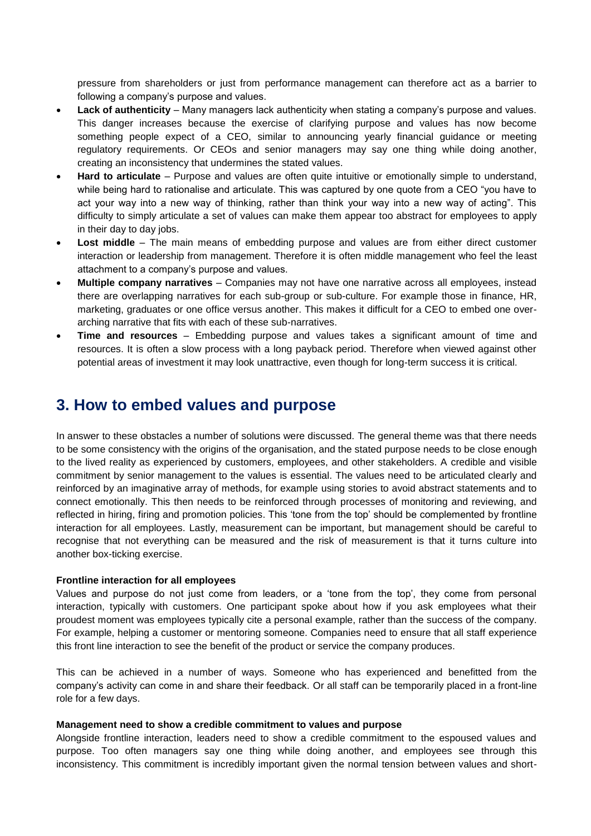pressure from shareholders or just from performance management can therefore act as a barrier to following a company's purpose and values.

- **Lack of authenticity** Many managers lack authenticity when stating a company's purpose and values. This danger increases because the exercise of clarifying purpose and values has now become something people expect of a CEO, similar to announcing yearly financial guidance or meeting regulatory requirements. Or CEOs and senior managers may say one thing while doing another, creating an inconsistency that undermines the stated values.
- Hard to articulate Purpose and values are often quite intuitive or emotionally simple to understand, while being hard to rationalise and articulate. This was captured by one quote from a CEO "you have to act your way into a new way of thinking, rather than think your way into a new way of acting". This difficulty to simply articulate a set of values can make them appear too abstract for employees to apply in their day to day jobs.
- **Lost middle**  The main means of embedding purpose and values are from either direct customer interaction or leadership from management. Therefore it is often middle management who feel the least attachment to a company's purpose and values.
- **Multiple company narratives**  Companies may not have one narrative across all employees, instead there are overlapping narratives for each sub-group or sub-culture. For example those in finance, HR, marketing, graduates or one office versus another. This makes it difficult for a CEO to embed one overarching narrative that fits with each of these sub-narratives.
- **Time and resources**  Embedding purpose and values takes a significant amount of time and resources. It is often a slow process with a long payback period. Therefore when viewed against other potential areas of investment it may look unattractive, even though for long-term success it is critical.

### **3. How to embed values and purpose**

In answer to these obstacles a number of solutions were discussed. The general theme was that there needs to be some consistency with the origins of the organisation, and the stated purpose needs to be close enough to the lived reality as experienced by customers, employees, and other stakeholders. A credible and visible commitment by senior management to the values is essential. The values need to be articulated clearly and reinforced by an imaginative array of methods, for example using stories to avoid abstract statements and to connect emotionally. This then needs to be reinforced through processes of monitoring and reviewing, and reflected in hiring, firing and promotion policies. This 'tone from the top' should be complemented by frontline interaction for all employees. Lastly, measurement can be important, but management should be careful to recognise that not everything can be measured and the risk of measurement is that it turns culture into another box-ticking exercise.

#### **Frontline interaction for all employees**

Values and purpose do not just come from leaders, or a 'tone from the top', they come from personal interaction, typically with customers. One participant spoke about how if you ask employees what their proudest moment was employees typically cite a personal example, rather than the success of the company. For example, helping a customer or mentoring someone. Companies need to ensure that all staff experience this front line interaction to see the benefit of the product or service the company produces.

This can be achieved in a number of ways. Someone who has experienced and benefitted from the company's activity can come in and share their feedback. Or all staff can be temporarily placed in a front-line role for a few days.

#### **Management need to show a credible commitment to values and purpose**

Alongside frontline interaction, leaders need to show a credible commitment to the espoused values and purpose. Too often managers say one thing while doing another, and employees see through this inconsistency. This commitment is incredibly important given the normal tension between values and short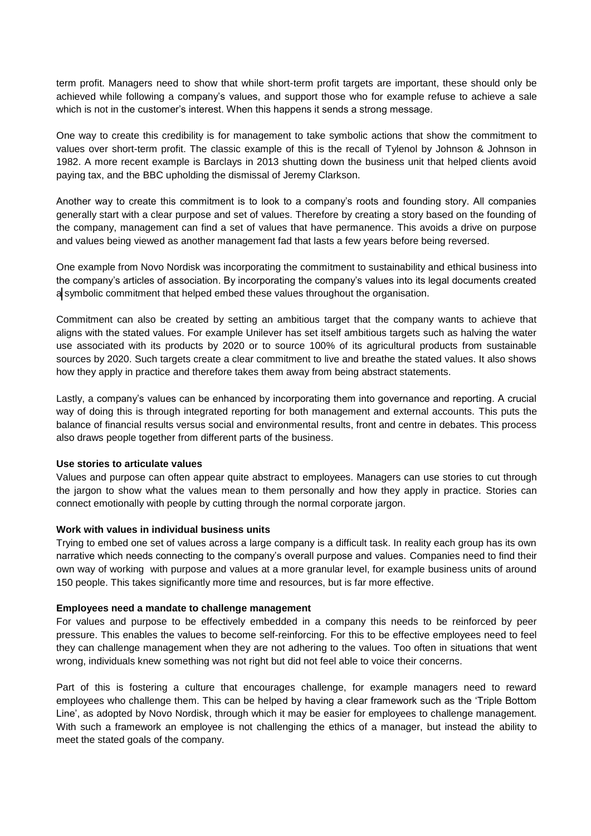term profit. Managers need to show that while short-term profit targets are important, these should only be achieved while following a company's values, and support those who for example refuse to achieve a sale which is not in the customer's interest. When this happens it sends a strong message.

One way to create this credibility is for management to take symbolic actions that show the commitment to values over short-term profit. The classic example of this is the recall of Tylenol by Johnson & Johnson in 1982. A more recent example is Barclays in 2013 shutting down the business unit that helped clients avoid paying tax, and the BBC upholding the dismissal of Jeremy Clarkson.

Another way to create this commitment is to look to a company's roots and founding story. All companies generally start with a clear purpose and set of values. Therefore by creating a story based on the founding of the company, management can find a set of values that have permanence. This avoids a drive on purpose and values being viewed as another management fad that lasts a few years before being reversed.

One example from Novo Nordisk was incorporating the commitment to sustainability and ethical business into the company's articles of association. By incorporating the company's values into its legal documents created a symbolic commitment that helped embed these values throughout the organisation.

Commitment can also be created by setting an ambitious target that the company wants to achieve that aligns with the stated values. For example Unilever has set itself ambitious targets such as halving the water use associated with its products by 2020 or to source 100% of its agricultural products from sustainable sources by 2020. Such targets create a clear commitment to live and breathe the stated values. It also shows how they apply in practice and therefore takes them away from being abstract statements.

Lastly, a company's values can be enhanced by incorporating them into governance and reporting. A crucial way of doing this is through integrated reporting for both management and external accounts. This puts the balance of financial results versus social and environmental results, front and centre in debates. This process also draws people together from different parts of the business.

#### **Use stories to articulate values**

Values and purpose can often appear quite abstract to employees. Managers can use stories to cut through the jargon to show what the values mean to them personally and how they apply in practice. Stories can connect emotionally with people by cutting through the normal corporate jargon.

#### **Work with values in individual business units**

Trying to embed one set of values across a large company is a difficult task. In reality each group has its own narrative which needs connecting to the company's overall purpose and values. Companies need to find their own way of working with purpose and values at a more granular level, for example business units of around 150 people. This takes significantly more time and resources, but is far more effective.

#### **Employees need a mandate to challenge management**

For values and purpose to be effectively embedded in a company this needs to be reinforced by peer pressure. This enables the values to become self-reinforcing. For this to be effective employees need to feel they can challenge management when they are not adhering to the values. Too often in situations that went wrong, individuals knew something was not right but did not feel able to voice their concerns.

Part of this is fostering a culture that encourages challenge, for example managers need to reward employees who challenge them. This can be helped by having a clear framework such as the 'Triple Bottom Line', as adopted by Novo Nordisk, through which it may be easier for employees to challenge management. With such a framework an employee is not challenging the ethics of a manager, but instead the ability to meet the stated goals of the company.